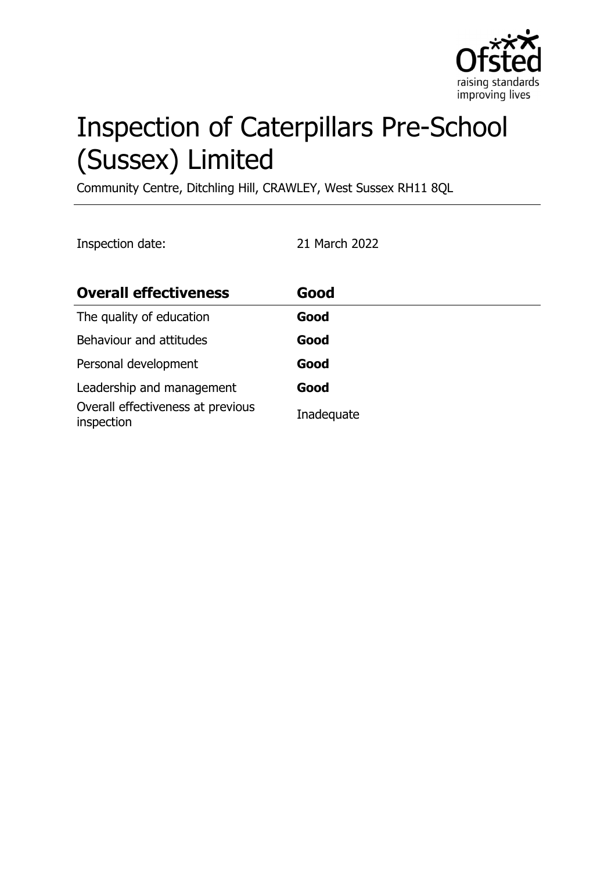

# Inspection of Caterpillars Pre-School (Sussex) Limited

Community Centre, Ditchling Hill, CRAWLEY, West Sussex RH11 8QL

Inspection date: 21 March 2022

| <b>Overall effectiveness</b>                    | Good       |
|-------------------------------------------------|------------|
| The quality of education                        | Good       |
| Behaviour and attitudes                         | Good       |
| Personal development                            | Good       |
| Leadership and management                       | Good       |
| Overall effectiveness at previous<br>inspection | Inadequate |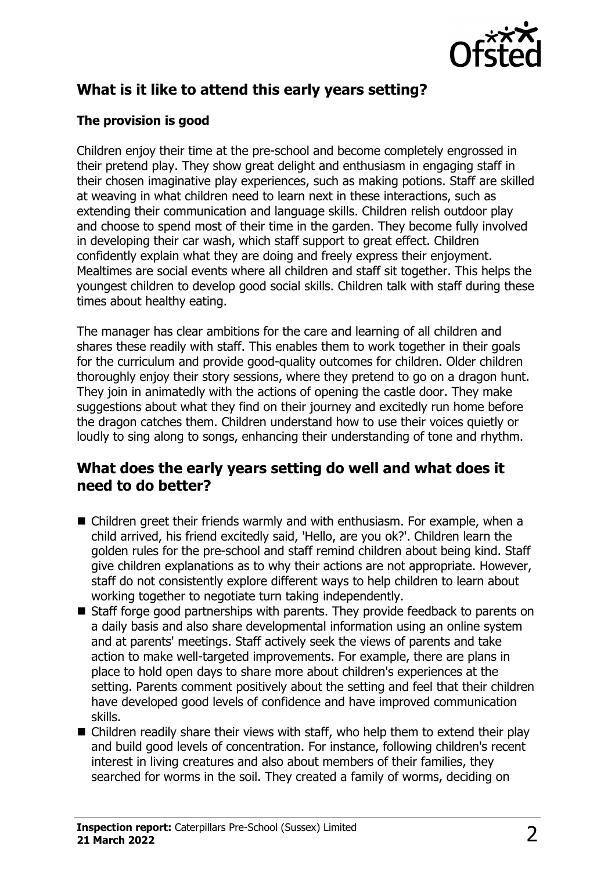

# **What is it like to attend this early years setting?**

#### **The provision is good**

Children enjoy their time at the pre-school and become completely engrossed in their pretend play. They show great delight and enthusiasm in engaging staff in their chosen imaginative play experiences, such as making potions. Staff are skilled at weaving in what children need to learn next in these interactions, such as extending their communication and language skills. Children relish outdoor play and choose to spend most of their time in the garden. They become fully involved in developing their car wash, which staff support to great effect. Children confidently explain what they are doing and freely express their enjoyment. Mealtimes are social events where all children and staff sit together. This helps the youngest children to develop good social skills. Children talk with staff during these times about healthy eating.

The manager has clear ambitions for the care and learning of all children and shares these readily with staff. This enables them to work together in their goals for the curriculum and provide good-quality outcomes for children. Older children thoroughly enjoy their story sessions, where they pretend to go on a dragon hunt. They join in animatedly with the actions of opening the castle door. They make suggestions about what they find on their journey and excitedly run home before the dragon catches them. Children understand how to use their voices quietly or loudly to sing along to songs, enhancing their understanding of tone and rhythm.

### **What does the early years setting do well and what does it need to do better?**

- $\blacksquare$  Children greet their friends warmly and with enthusiasm. For example, when a child arrived, his friend excitedly said, 'Hello, are you ok?'. Children learn the golden rules for the pre-school and staff remind children about being kind. Staff give children explanations as to why their actions are not appropriate. However, staff do not consistently explore different ways to help children to learn about working together to negotiate turn taking independently.
- Staff forge good partnerships with parents. They provide feedback to parents on a daily basis and also share developmental information using an online system and at parents' meetings. Staff actively seek the views of parents and take action to make well-targeted improvements. For example, there are plans in place to hold open days to share more about children's experiences at the setting. Parents comment positively about the setting and feel that their children have developed good levels of confidence and have improved communication skills.
- $\blacksquare$  Children readily share their views with staff, who help them to extend their play and build good levels of concentration. For instance, following children's recent interest in living creatures and also about members of their families, they searched for worms in the soil. They created a family of worms, deciding on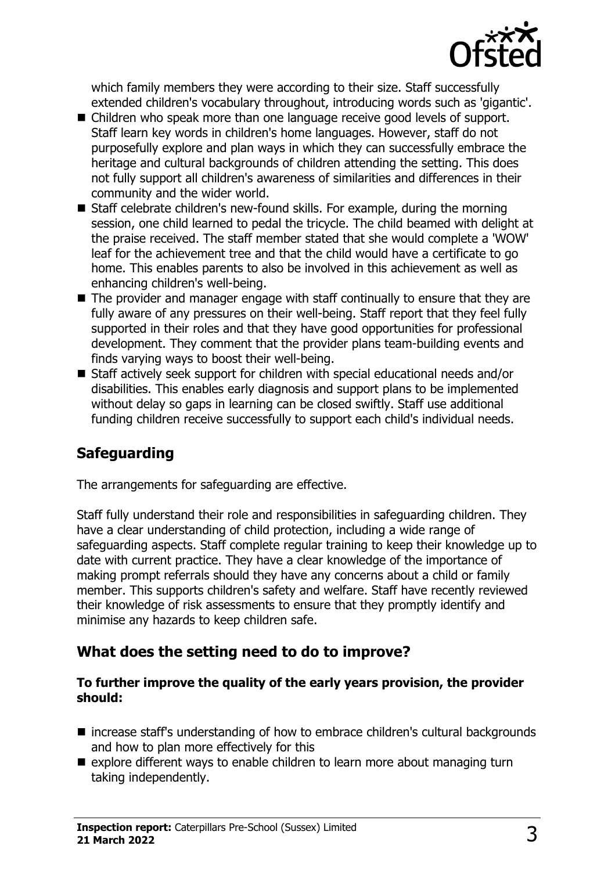

which family members they were according to their size. Staff successfully extended children's vocabulary throughout, introducing words such as 'gigantic'.

- Children who speak more than one language receive good levels of support. Staff learn key words in children's home languages. However, staff do not purposefully explore and plan ways in which they can successfully embrace the heritage and cultural backgrounds of children attending the setting. This does not fully support all children's awareness of similarities and differences in their community and the wider world.
- Staff celebrate children's new-found skills. For example, during the morning session, one child learned to pedal the tricycle. The child beamed with delight at the praise received. The staff member stated that she would complete a 'WOW' leaf for the achievement tree and that the child would have a certificate to go home. This enables parents to also be involved in this achievement as well as enhancing children's well-being.
- $\blacksquare$  The provider and manager engage with staff continually to ensure that they are fully aware of any pressures on their well-being. Staff report that they feel fully supported in their roles and that they have good opportunities for professional development. They comment that the provider plans team-building events and finds varying ways to boost their well-being.
- Staff actively seek support for children with special educational needs and/or disabilities. This enables early diagnosis and support plans to be implemented without delay so gaps in learning can be closed swiftly. Staff use additional funding children receive successfully to support each child's individual needs.

## **Safeguarding**

The arrangements for safeguarding are effective.

Staff fully understand their role and responsibilities in safeguarding children. They have a clear understanding of child protection, including a wide range of safeguarding aspects. Staff complete regular training to keep their knowledge up to date with current practice. They have a clear knowledge of the importance of making prompt referrals should they have any concerns about a child or family member. This supports children's safety and welfare. Staff have recently reviewed their knowledge of risk assessments to ensure that they promptly identify and minimise any hazards to keep children safe.

## **What does the setting need to do to improve?**

#### **To further improve the quality of the early years provision, the provider should:**

- $\blacksquare$  increase staff's understanding of how to embrace children's cultural backgrounds and how to plan more effectively for this
- $\blacksquare$  explore different ways to enable children to learn more about managing turn taking independently.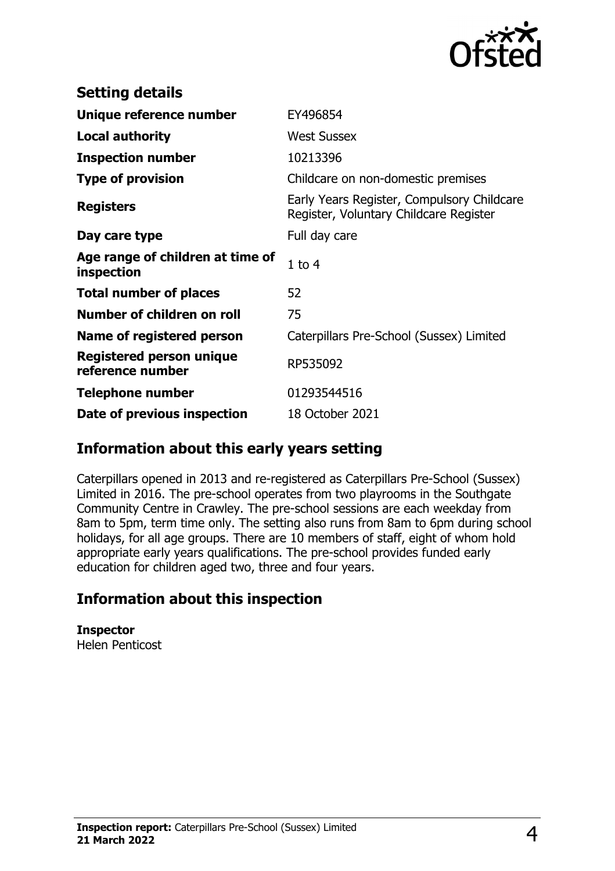

| <b>Setting details</b>                              |                                                                                      |
|-----------------------------------------------------|--------------------------------------------------------------------------------------|
| Unique reference number                             | EY496854                                                                             |
| <b>Local authority</b>                              | <b>West Sussex</b>                                                                   |
| <b>Inspection number</b>                            | 10213396                                                                             |
| <b>Type of provision</b>                            | Childcare on non-domestic premises                                                   |
| <b>Registers</b>                                    | Early Years Register, Compulsory Childcare<br>Register, Voluntary Childcare Register |
| Day care type                                       | Full day care                                                                        |
| Age range of children at time of<br>inspection      | $1$ to $4$                                                                           |
| <b>Total number of places</b>                       | 52                                                                                   |
| Number of children on roll                          | 75                                                                                   |
| Name of registered person                           | Caterpillars Pre-School (Sussex) Limited                                             |
| <b>Registered person unique</b><br>reference number | RP535092                                                                             |
| <b>Telephone number</b>                             | 01293544516                                                                          |
| Date of previous inspection                         | 18 October 2021                                                                      |

### **Information about this early years setting**

Caterpillars opened in 2013 and re-registered as Caterpillars Pre-School (Sussex) Limited in 2016. The pre-school operates from two playrooms in the Southgate Community Centre in Crawley. The pre-school sessions are each weekday from 8am to 5pm, term time only. The setting also runs from 8am to 6pm during school holidays, for all age groups. There are 10 members of staff, eight of whom hold appropriate early years qualifications. The pre-school provides funded early education for children aged two, three and four years.

## **Information about this inspection**

**Inspector** Helen Penticost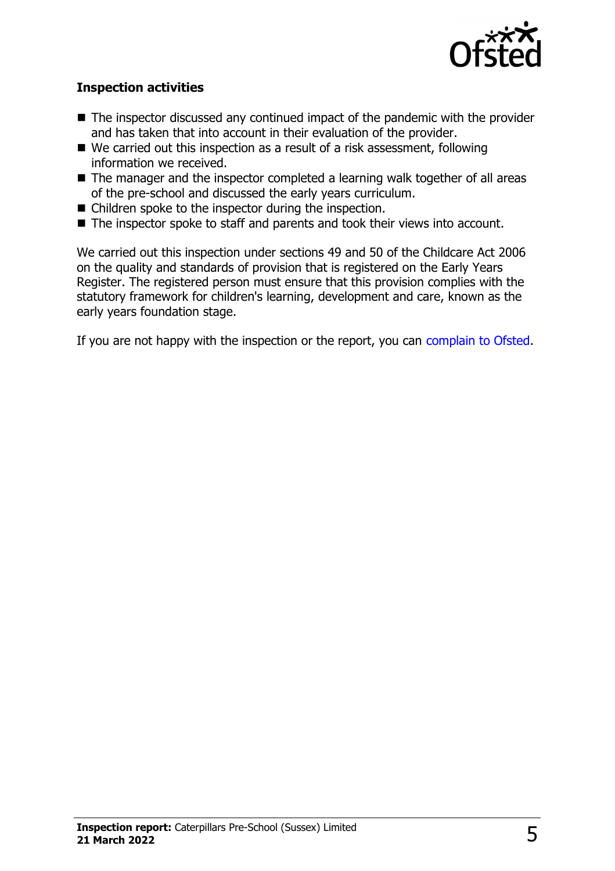

#### **Inspection activities**

- $\blacksquare$  The inspector discussed any continued impact of the pandemic with the provider and has taken that into account in their evaluation of the provider.
- $\blacksquare$  We carried out this inspection as a result of a risk assessment, following information we received.
- $\blacksquare$  The manager and the inspector completed a learning walk together of all areas of the pre-school and discussed the early years curriculum.
- $\blacksquare$  Children spoke to the inspector during the inspection.
- $\blacksquare$  The inspector spoke to staff and parents and took their views into account.

We carried out this inspection under sections 49 and 50 of the Childcare Act 2006 on the quality and standards of provision that is registered on the Early Years Register. The registered person must ensure that this provision complies with the statutory framework for children's learning, development and care, known as the early years foundation stage.

If you are not happy with the inspection or the report, you can [complain to Ofsted](http://www.gov.uk/complain-ofsted-report).